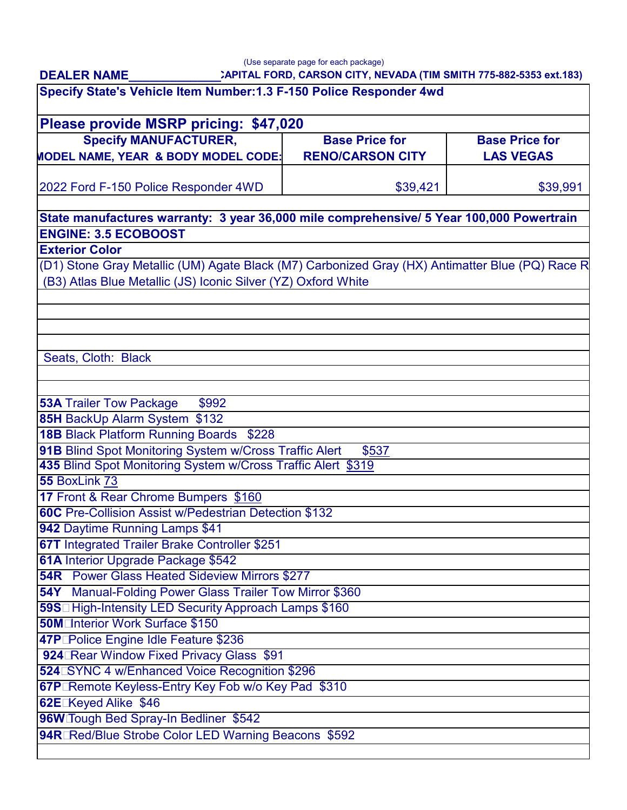**DEALER NAME\_\_\_\_\_\_\_\_\_\_\_\_\_\_**

| Specify State's Vehicle Item Number: 1.3 F-150 Police Responder 4wd<br>Please provide MSRP pricing: \$47,020                                                     |          |          |
|------------------------------------------------------------------------------------------------------------------------------------------------------------------|----------|----------|
|                                                                                                                                                                  |          |          |
| 2022 Ford F-150 Police Responder 4WD                                                                                                                             | \$39,421 | \$39,991 |
| State manufactures warranty: 3 year 36,000 mile comprehensive/ 5 Year 100,000 Powertrain                                                                         |          |          |
| <b>ENGINE: 3.5 ECOBOOST</b>                                                                                                                                      |          |          |
| <b>Exterior Color</b>                                                                                                                                            |          |          |
| (D1) Stone Gray Metallic (UM) Agate Black (M7) Carbonized Gray (HX) Antimatter Blue (PQ) Race R<br>(B3) Atlas Blue Metallic (JS) Iconic Silver (YZ) Oxford White |          |          |
| Seats, Cloth: Black                                                                                                                                              |          |          |
| <b>53A Trailer Tow Package</b><br>\$992                                                                                                                          |          |          |
| 85H BackUp Alarm System \$132                                                                                                                                    |          |          |
| 18B Black Platform Running Boards \$228                                                                                                                          |          |          |
| 91B Blind Spot Monitoring System w/Cross Traffic Alert<br>\$537                                                                                                  |          |          |
| 435 Blind Spot Monitoring System w/Cross Traffic Alert \$319                                                                                                     |          |          |
| 55 BoxLink 73                                                                                                                                                    |          |          |
| 17 Front & Rear Chrome Bumpers \$160                                                                                                                             |          |          |
| 60C Pre-Collision Assist w/Pedestrian Detection \$132                                                                                                            |          |          |
| 942 Daytime Running Lamps \$41                                                                                                                                   |          |          |
| <b>67T Integrated Trailer Brake Controller \$251</b>                                                                                                             |          |          |
| 61A Interior Upgrade Package \$542                                                                                                                               |          |          |
| <b>54R</b> Power Glass Heated Sideview Mirrors \$277                                                                                                             |          |          |
| 54Y Manual-Folding Power Glass Trailer Tow Mirror \$360                                                                                                          |          |          |
| 59S□ High-Intensity LED Security Approach Lamps \$160                                                                                                            |          |          |
| 50M□nterior Work Surface \$150                                                                                                                                   |          |          |
| 47P Police Engine Idle Feature \$236                                                                                                                             |          |          |
| 924 Rear Window Fixed Privacy Glass \$91                                                                                                                         |          |          |
| 524 SYNC 4 w/Enhanced Voice Recognition \$296                                                                                                                    |          |          |
| <b>67P</b> Remote Keyless-Entry Key Fob w/o Key Pad \$310                                                                                                        |          |          |
| 62E Keyed Alike \$46                                                                                                                                             |          |          |
| 96W Tough Bed Spray-In Bedliner \$542                                                                                                                            |          |          |
| 94R Red/Blue Strobe Color LED Warning Beacons \$592                                                                                                              |          |          |
|                                                                                                                                                                  |          |          |